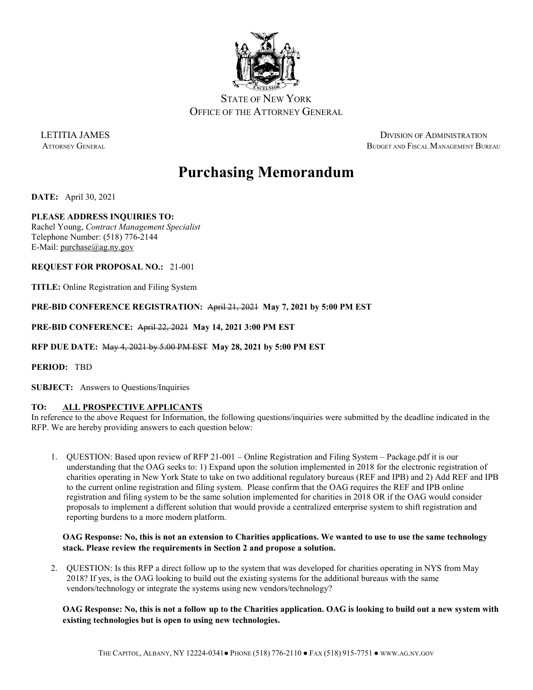

STATE OF NEW YORK OFFICE OF THE ATTORNEY GENERAL

LETITIA JAMES DIVISION OF ADMINISTRATION ATTORNEY GENERAL BUDGET AND FISCAL MANAGEMENT BUREAU

# **Purchasing Memorandum**

**DATE:** April 30, 2021

# **PLEASE ADDRESS INQUIRIES TO:**

Rachel Young, *Contract Management Specialist* Telephone Number: (518) 776-2144 E-Mail: [purchase@ag.ny.gov](mailto:purchase@ag.ny.gov)

**REQUEST FOR PROPOSAL NO.:** 21-001

**TITLE:** Online Registration and Filing System

**PRE-BID CONFERENCE REGISTRATION:** April 21, 2021 **May 7, 2021 by 5:00 PM EST**

**PRE-BID CONFERENCE:** April 22, 2021 **May 14, 2021 3:00 PM EST**

**RFP DUE DATE:** May 4, 2021 by 5:00 PM EST **May 28, 2021 by 5:00 PM EST**

**PERIOD:** TBD

**SUBJECT:** Answers to Questions/Inquiries

# **TO: ALL PROSPECTIVE APPLICANTS**

In reference to the above Request for Information, the following questions/inquiries were submitted by the deadline indicated in the RFP. We are hereby providing answers to each question below:

1. QUESTION: Based upon review of RFP 21-001 – Online Registration and Filing System – Package.pdf it is our understanding that the OAG seeks to: 1) Expand upon the solution implemented in 2018 for the electronic registration of charities operating in New York State to take on two additional regulatory bureaus (REF and IPB) and 2) Add REF and IPB to the current online registration and filing system. Please confirm that the OAG requires the REF and IPB online registration and filing system to be the same solution implemented for charities in 2018 OR if the OAG would consider proposals to implement a different solution that would provide a centralized enterprise system to shift registration and reporting burdens to a more modern platform.

# **OAG Response: No, this is not an extension to Charities applications. We wanted to use to use the same technology stack. Please review the requirements in Section 2 and propose a solution.**

2. QUESTION: Is this RFP a direct follow up to the system that was developed for charities operating in NYS from May 2018? If yes, is the OAG looking to build out the existing systems for the additional bureaus with the same vendors/technology or integrate the systems using new vendors/technology?

**OAG Response: No, this is not a follow up to the Charities application. OAG is looking to build out a new system with existing technologies but is open to using new technologies.**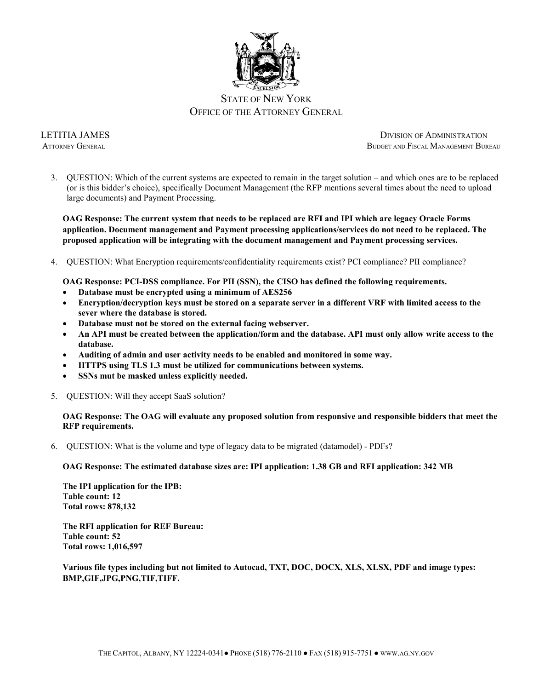

3. QUESTION: Which of the current systems are expected to remain in the target solution – and which ones are to be replaced (or is this bidder's choice), specifically Document Management (the RFP mentions several times about the need to upload large documents) and Payment Processing.

**OAG Response: The current system that needs to be replaced are RFI and IPI which are legacy Oracle Forms application. Document management and Payment processing applications/services do not need to be replaced. The proposed application will be integrating with the document management and Payment processing services.** 

4. QUESTION: What Encryption requirements/confidentiality requirements exist? PCI compliance? PII compliance?

**OAG Response: PCI-DSS compliance. For PII (SSN), the CISO has defined the following requirements.** 

- **Database must be encrypted using a minimum of AES256**
- **Encryption/decryption keys must be stored on a separate server in a different VRF with limited access to the sever where the database is stored.**
- **Database must not be stored on the external facing webserver.**
- **An API must be created between the application/form and the database. API must only allow write access to the database.**
- **Auditing of admin and user activity needs to be enabled and monitored in some way.**
- **HTTPS using TLS 1.3 must be utilized for communications between systems.**
- **SSNs mut be masked unless explicitly needed.**
- 5. QUESTION: Will they accept SaaS solution?

**OAG Response: The OAG will evaluate any proposed solution from responsive and responsible bidders that meet the RFP requirements.**

6. QUESTION: What is the volume and type of legacy data to be migrated (datamodel) - PDFs?

#### **OAG Response: The estimated database sizes are: IPI application: 1.38 GB and RFI application: 342 MB**

**The IPI application for the IPB: Table count: 12 Total rows: 878,132**

**The RFI application for REF Bureau: Table count: 52 Total rows: 1,016,597**

**Various file types including but not limited to Autocad, TXT, DOC, DOCX, XLS, XLSX, PDF and image types: BMP,GIF,JPG,PNG,TIF,TIFF.**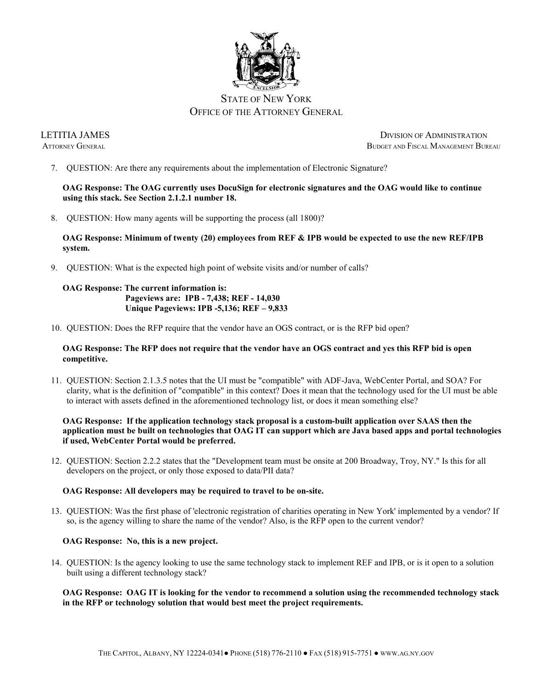

7. QUESTION: Are there any requirements about the implementation of Electronic Signature?

**OAG Response: The OAG currently uses DocuSign for electronic signatures and the OAG would like to continue using this stack. See Section 2.1.2.1 number 18.**

8. QUESTION: How many agents will be supporting the process (all 1800)?

# **OAG Response: Minimum of twenty (20) employees from REF & IPB would be expected to use the new REF/IPB system.**

9. QUESTION: What is the expected high point of website visits and/or number of calls?

# **OAG Response: The current information is: Pageviews are: IPB - 7,438; REF - 14,030 Unique Pageviews: IPB -5,136; REF – 9,833**

10. QUESTION: Does the RFP require that the vendor have an OGS contract, or is the RFP bid open?

# **OAG Response: The RFP does not require that the vendor have an OGS contract and yes this RFP bid is open competitive.**

11. QUESTION: Section 2.1.3.5 notes that the UI must be "compatible" with ADF-Java, WebCenter Portal, and SOA? For clarity, what is the definition of "compatible" in this context? Does it mean that the technology used for the UI must be able to interact with assets defined in the aforementioned technology list, or does it mean something else?

# **OAG Response: If the application technology stack proposal is a custom-built application over SAAS then the application must be built on technologies that OAG IT can support which are Java based apps and portal technologies if used, WebCenter Portal would be preferred.**

12. QUESTION: Section 2.2.2 states that the "Development team must be onsite at 200 Broadway, Troy, NY." Is this for all developers on the project, or only those exposed to data/PII data?

# **OAG Response: All developers may be required to travel to be on-site.**

13. QUESTION: Was the first phase of 'electronic registration of charities operating in New York' implemented by a vendor? If so, is the agency willing to share the name of the vendor? Also, is the RFP open to the current vendor?

# **OAG Response: No, this is a new project.**

14. QUESTION: Is the agency looking to use the same technology stack to implement REF and IPB, or is it open to a solution built using a different technology stack?

#### **OAG Response: OAG IT is looking for the vendor to recommend a solution using the recommended technology stack in the RFP or technology solution that would best meet the project requirements.**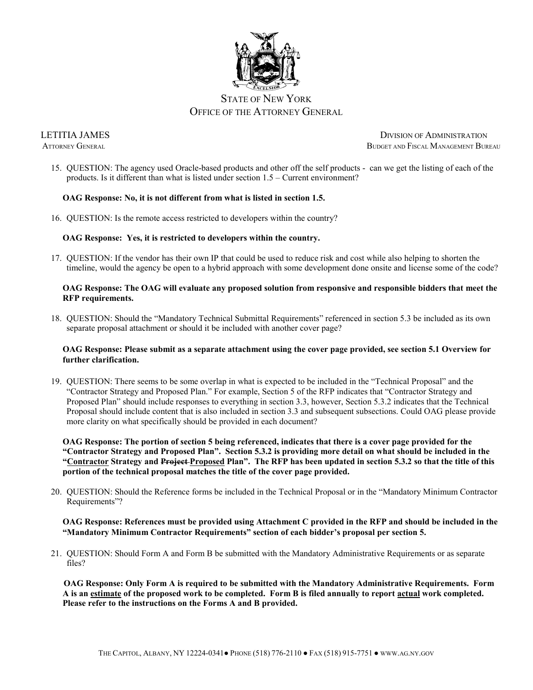

15. QUESTION: The agency used Oracle-based products and other off the self products - can we get the listing of each of the products. Is it different than what is listed under section 1.5 – Current environment?

# **OAG Response: No, it is not different from what is listed in section 1.5.**

16. QUESTION: Is the remote access restricted to developers within the country?

# **OAG Response: Yes, it is restricted to developers within the country.**

17. QUESTION: If the vendor has their own IP that could be used to reduce risk and cost while also helping to shorten the timeline, would the agency be open to a hybrid approach with some development done onsite and license some of the code?

# **OAG Response: The OAG will evaluate any proposed solution from responsive and responsible bidders that meet the RFP requirements.**

18. QUESTION: Should the "Mandatory Technical Submittal Requirements" referenced in section 5.3 be included as its own separate proposal attachment or should it be included with another cover page?

# **OAG Response: Please submit as a separate attachment using the cover page provided, see section 5.1 Overview for further clarification.**

19. QUESTION: There seems to be some overlap in what is expected to be included in the "Technical Proposal" and the "Contractor Strategy and Proposed Plan." For example, Section 5 of the RFP indicates that "Contractor Strategy and Proposed Plan" should include responses to everything in section 3.3, however, Section 5.3.2 indicates that the Technical Proposal should include content that is also included in section 3.3 and subsequent subsections. Could OAG please provide more clarity on what specifically should be provided in each document?

**OAG Response: The portion of section 5 being referenced, indicates that there is a cover page provided for the "Contractor Strategy and Proposed Plan". Section 5.3.2 is providing more detail on what should be included in the "Contractor Strategy and Project Proposed Plan". The RFP has been updated in section 5.3.2 so that the title of this portion of the technical proposal matches the title of the cover page provided.** 

20. QUESTION: Should the Reference forms be included in the Technical Proposal or in the "Mandatory Minimum Contractor Requirements"?

#### **OAG Response: References must be provided using Attachment C provided in the RFP and should be included in the "Mandatory Minimum Contractor Requirements" section of each bidder's proposal per section 5.**

21. QUESTION: Should Form A and Form B be submitted with the Mandatory Administrative Requirements or as separate files?

**OAG Response: Only Form A is required to be submitted with the Mandatory Administrative Requirements. Form A is an estimate of the proposed work to be completed. Form B is filed annually to report actual work completed. Please refer to the instructions on the Forms A and B provided.**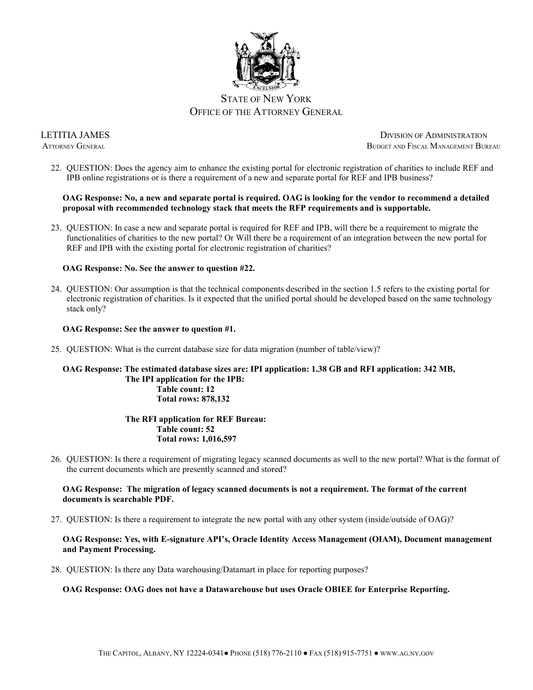

22. QUESTION: Does the agency aim to enhance the existing portal for electronic registration of charities to include REF and IPB online registrations or is there a requirement of a new and separate portal for REF and IPB business?

# **OAG Response: No, a new and separate portal is required. OAG is looking for the vendor to recommend a detailed proposal with recommended technology stack that meets the RFP requirements and is supportable.**

23. QUESTION: In case a new and separate portal is required for REF and IPB, will there be a requirement to migrate the functionalities of charities to the new portal? Or Will there be a requirement of an integration between the new portal for REF and IPB with the existing portal for electronic registration of charities?

# **OAG Response: No. See the answer to question #22.**

24. QUESTION: Our assumption is that the technical components described in the section 1.5 refers to the existing portal for electronic registration of charities. Is it expected that the unified portal should be developed based on the same technology stack only?

# **OAG Response: See the answer to question #1.**

25. QUESTION: What is the current database size for data migration (number of table/view)?

# **OAG Response: The estimated database sizes are: IPI application: 1.38 GB and RFI application: 342 MB, The IPI application for the IPB: Table count: 12 Total rows: 878,132**

#### **The RFI application for REF Bureau: Table count: 52 Total rows: 1,016,597**

26. QUESTION: Is there a requirement of migrating legacy scanned documents as well to the new portal? What is the format of the current documents which are presently scanned and stored?

#### **OAG Response: The migration of legacy scanned documents is not a requirement. The format of the current documents is searchable PDF.**

27. QUESTION: Is there a requirement to integrate the new portal with any other system (inside/outside of OAG)?

# **OAG Response: Yes, with E-signature API's, Oracle Identity Access Management (OIAM), Document management and Payment Processing.**

28. QUESTION: Is there any Data warehousing/Datamart in place for reporting purposes?

# **OAG Response: OAG does not have a Datawarehouse but uses Oracle OBIEE for Enterprise Reporting.**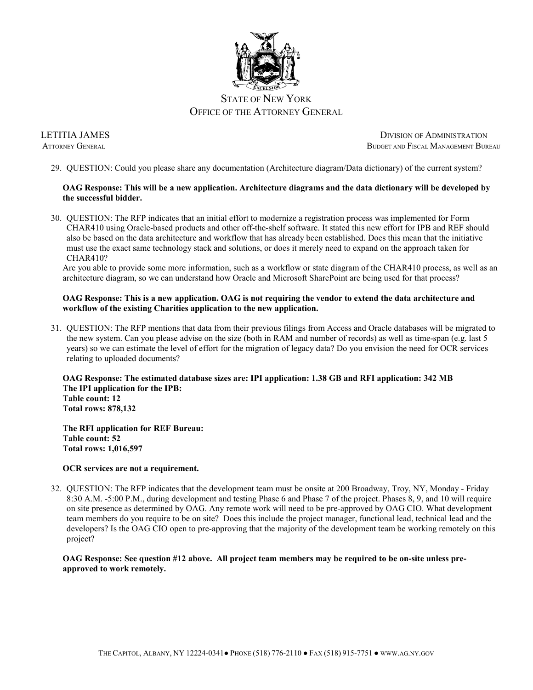

29. QUESTION: Could you please share any documentation (Architecture diagram/Data dictionary) of the current system?

# **OAG Response: This will be a new application. Architecture diagrams and the data dictionary will be developed by the successful bidder.**

30. QUESTION: The RFP indicates that an initial effort to modernize a registration process was implemented for Form CHAR410 using Oracle-based products and other off-the-shelf software. It stated this new effort for IPB and REF should also be based on the data architecture and workflow that has already been established. Does this mean that the initiative must use the exact same technology stack and solutions, or does it merely need to expand on the approach taken for CHAR410?

Are you able to provide some more information, such as a workflow or state diagram of the CHAR410 process, as well as an architecture diagram, so we can understand how Oracle and Microsoft SharePoint are being used for that process?

# **OAG Response: This is a new application. OAG is not requiring the vendor to extend the data architecture and workflow of the existing Charities application to the new application.**

31. QUESTION: The RFP mentions that data from their previous filings from Access and Oracle databases will be migrated to the new system. Can you please advise on the size (both in RAM and number of records) as well as time-span (e.g. last 5 years) so we can estimate the level of effort for the migration of legacy data? Do you envision the need for OCR services relating to uploaded documents?

**OAG Response: The estimated database sizes are: IPI application: 1.38 GB and RFI application: 342 MB The IPI application for the IPB: Table count: 12 Total rows: 878,132**

**The RFI application for REF Bureau: Table count: 52 Total rows: 1,016,597**

# **OCR services are not a requirement.**

32. QUESTION: The RFP indicates that the development team must be onsite at 200 Broadway, Troy, NY, Monday - Friday 8:30 A.M. -5:00 P.M., during development and testing Phase 6 and Phase 7 of the project. Phases 8, 9, and 10 will require on site presence as determined by OAG. Any remote work will need to be pre-approved by OAG CIO. What development team members do you require to be on site? Does this include the project manager, functional lead, technical lead and the developers? Is the OAG CIO open to pre-approving that the majority of the development team be working remotely on this project?

**OAG Response: See question #12 above. All project team members may be required to be on-site unless preapproved to work remotely.**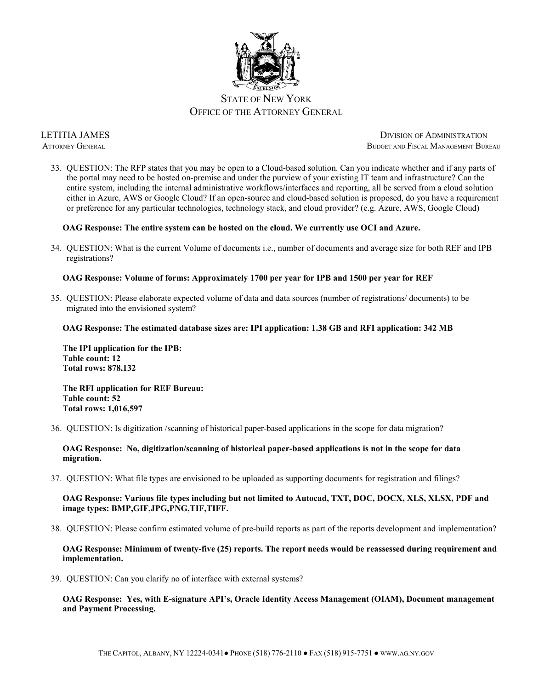

33. QUESTION: The RFP states that you may be open to a Cloud-based solution. Can you indicate whether and if any parts of the portal may need to be hosted on-premise and under the purview of your existing IT team and infrastructure? Can the entire system, including the internal administrative workflows/interfaces and reporting, all be served from a cloud solution either in Azure, AWS or Google Cloud? If an open-source and cloud-based solution is proposed, do you have a requirement or preference for any particular technologies, technology stack, and cloud provider? (e.g. Azure, AWS, Google Cloud)

#### **OAG Response: The entire system can be hosted on the cloud. We currently use OCI and Azure.**

34. QUESTION: What is the current Volume of documents i.e., number of documents and average size for both REF and IPB registrations?

# **OAG Response: Volume of forms: Approximately 1700 per year for IPB and 1500 per year for REF**

35. QUESTION: Please elaborate expected volume of data and data sources (number of registrations/ documents) to be migrated into the envisioned system?

#### **OAG Response: The estimated database sizes are: IPI application: 1.38 GB and RFI application: 342 MB**

**The IPI application for the IPB: Table count: 12 Total rows: 878,132**

**The RFI application for REF Bureau: Table count: 52 Total rows: 1,016,597**

36. QUESTION: Is digitization /scanning of historical paper-based applications in the scope for data migration?

**OAG Response: No, digitization/scanning of historical paper-based applications is not in the scope for data migration.**

37. QUESTION: What file types are envisioned to be uploaded as supporting documents for registration and filings?

**OAG Response: Various file types including but not limited to Autocad, TXT, DOC, DOCX, XLS, XLSX, PDF and image types: BMP,GIF,JPG,PNG,TIF,TIFF.**

38. QUESTION: Please confirm estimated volume of pre-build reports as part of the reports development and implementation?

#### **OAG Response: Minimum of twenty-five (25) reports. The report needs would be reassessed during requirement and implementation.**

39. QUESTION: Can you clarify no of interface with external systems?

**OAG Response: Yes, with E-signature API's, Oracle Identity Access Management (OIAM), Document management and Payment Processing.**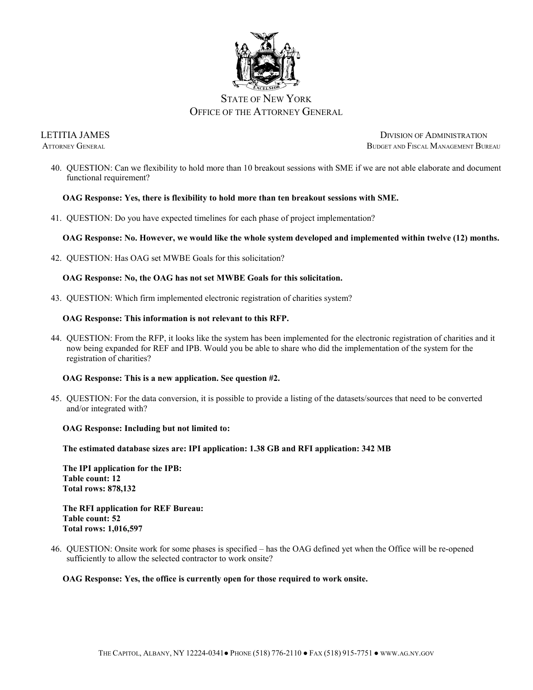

40. QUESTION: Can we flexibility to hold more than 10 breakout sessions with SME if we are not able elaborate and document functional requirement?

#### **OAG Response: Yes, there is flexibility to hold more than ten breakout sessions with SME.**

41. QUESTION: Do you have expected timelines for each phase of project implementation?

#### **OAG Response: No. However, we would like the whole system developed and implemented within twelve (12) months.**

42. QUESTION: Has OAG set MWBE Goals for this solicitation?

#### **OAG Response: No, the OAG has not set MWBE Goals for this solicitation.**

43. QUESTION: Which firm implemented electronic registration of charities system?

#### **OAG Response: This information is not relevant to this RFP.**

44. QUESTION: From the RFP, it looks like the system has been implemented for the electronic registration of charities and it now being expanded for REF and IPB. Would you be able to share who did the implementation of the system for the registration of charities?

#### **OAG Response: This is a new application. See question #2.**

45. QUESTION: For the data conversion, it is possible to provide a listing of the datasets/sources that need to be converted and/or integrated with?

#### **OAG Response: Including but not limited to:**

**The estimated database sizes are: IPI application: 1.38 GB and RFI application: 342 MB**

**The IPI application for the IPB: Table count: 12 Total rows: 878,132**

**The RFI application for REF Bureau: Table count: 52 Total rows: 1,016,597**

46. QUESTION: Onsite work for some phases is specified – has the OAG defined yet when the Office will be re-opened sufficiently to allow the selected contractor to work onsite?

#### **OAG Response: Yes, the office is currently open for those required to work onsite.**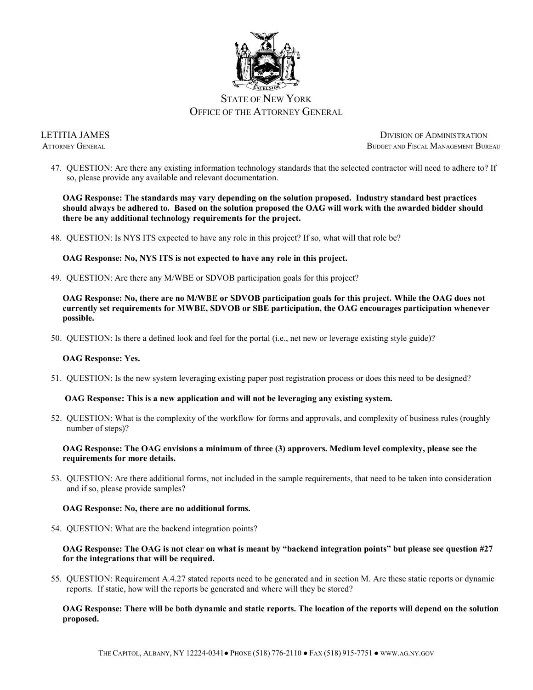

47. QUESTION: Are there any existing information technology standards that the selected contractor will need to adhere to? If so, please provide any available and relevant documentation.

**OAG Response: The standards may vary depending on the solution proposed. Industry standard best practices should always be adhered to. Based on the solution proposed the OAG will work with the awarded bidder should there be any additional technology requirements for the project.** 

48. QUESTION: Is NYS ITS expected to have any role in this project? If so, what will that role be?

**OAG Response: No, NYS ITS is not expected to have any role in this project.** 

49. QUESTION: Are there any M/WBE or SDVOB participation goals for this project?

**OAG Response: No, there are no M/WBE or SDVOB participation goals for this project. While the OAG does not currently set requirements for MWBE, SDVOB or SBE participation, the OAG encourages participation whenever possible.**

50. QUESTION: Is there a defined look and feel for the portal (i.e., net new or leverage existing style guide)?

#### **OAG Response: Yes.**

51. QUESTION: Is the new system leveraging existing paper post registration process or does this need to be designed?

# **OAG Response: This is a new application and will not be leveraging any existing system.**

52. QUESTION: What is the complexity of the workflow for forms and approvals, and complexity of business rules (roughly number of steps)?

#### **OAG Response: The OAG envisions a minimum of three (3) approvers. Medium level complexity, please see the requirements for more details.**

53. QUESTION: Are there additional forms, not included in the sample requirements, that need to be taken into consideration and if so, please provide samples?

#### **OAG Response: No, there are no additional forms.**

54. QUESTION: What are the backend integration points?

# **OAG Response: The OAG is not clear on what is meant by "backend integration points" but please see question #27 for the integrations that will be required.**

55. QUESTION: Requirement A.4.27 stated reports need to be generated and in section M. Are these static reports or dynamic reports. If static, how will the reports be generated and where will they be stored?

#### **OAG Response: There will be both dynamic and static reports. The location of the reports will depend on the solution proposed.**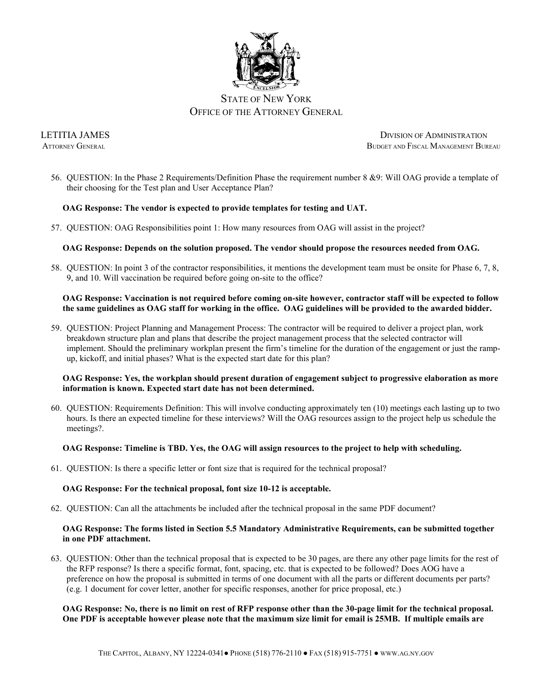

56. QUESTION: In the Phase 2 Requirements/Definition Phase the requirement number 8 &9: Will OAG provide a template of their choosing for the Test plan and User Acceptance Plan?

# **OAG Response: The vendor is expected to provide templates for testing and UAT.**

57. QUESTION: OAG Responsibilities point 1: How many resources from OAG will assist in the project?

# **OAG Response: Depends on the solution proposed. The vendor should propose the resources needed from OAG.**

58. QUESTION: In point 3 of the contractor responsibilities, it mentions the development team must be onsite for Phase 6, 7, 8, 9, and 10. Will vaccination be required before going on-site to the office?

#### **OAG Response: Vaccination is not required before coming on-site however, contractor staff will be expected to follow the same guidelines as OAG staff for working in the office. OAG guidelines will be provided to the awarded bidder.**

59. QUESTION: Project Planning and Management Process: The contractor will be required to deliver a project plan, work breakdown structure plan and plans that describe the project management process that the selected contractor will implement. Should the preliminary workplan present the firm's timeline for the duration of the engagement or just the rampup, kickoff, and initial phases? What is the expected start date for this plan?

# **OAG Response: Yes, the workplan should present duration of engagement subject to progressive elaboration as more information is known. Expected start date has not been determined.**

60. QUESTION: Requirements Definition: This will involve conducting approximately ten (10) meetings each lasting up to two hours. Is there an expected timeline for these interviews? Will the OAG resources assign to the project help us schedule the meetings?.

# **OAG Response: Timeline is TBD. Yes, the OAG will assign resources to the project to help with scheduling.**

61. QUESTION: Is there a specific letter or font size that is required for the technical proposal?

# **OAG Response: For the technical proposal, font size 10-12 is acceptable.**

62. QUESTION: Can all the attachments be included after the technical proposal in the same PDF document?

#### **OAG Response: The forms listed in Section 5.5 Mandatory Administrative Requirements, can be submitted together in one PDF attachment.**

63. QUESTION: Other than the technical proposal that is expected to be 30 pages, are there any other page limits for the rest of the RFP response? Is there a specific format, font, spacing, etc. that is expected to be followed? Does AOG have a preference on how the proposal is submitted in terms of one document with all the parts or different documents per parts? (e.g. 1 document for cover letter, another for specific responses, another for price proposal, etc.)

#### **OAG Response: No, there is no limit on rest of RFP response other than the 30-page limit for the technical proposal. One PDF is acceptable however please note that the maximum size limit for email is 25MB. If multiple emails are**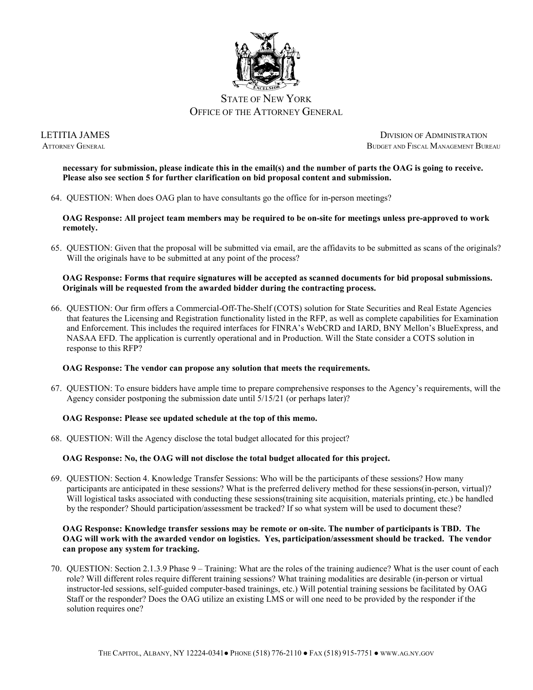

**necessary for submission, please indicate this in the email(s) and the number of parts the OAG is going to receive. Please also see section 5 for further clarification on bid proposal content and submission.**

64. QUESTION: When does OAG plan to have consultants go the office for in-person meetings?

**OAG Response: All project team members may be required to be on-site for meetings unless pre-approved to work remotely.**

65. QUESTION: Given that the proposal will be submitted via email, are the affidavits to be submitted as scans of the originals? Will the originals have to be submitted at any point of the process?

# **OAG Response: Forms that require signatures will be accepted as scanned documents for bid proposal submissions. Originals will be requested from the awarded bidder during the contracting process.**

66. QUESTION: Our firm offers a Commercial-Off-The-Shelf (COTS) solution for State Securities and Real Estate Agencies that features the Licensing and Registration functionality listed in the RFP, as well as complete capabilities for Examination and Enforcement. This includes the required interfaces for FINRA's WebCRD and IARD, BNY Mellon's BlueExpress, and NASAA EFD. The application is currently operational and in Production. Will the State consider a COTS solution in response to this RFP?

# **OAG Response: The vendor can propose any solution that meets the requirements.**

67. QUESTION: To ensure bidders have ample time to prepare comprehensive responses to the Agency's requirements, will the Agency consider postponing the submission date until 5/15/21 (or perhaps later)?

#### **OAG Response: Please see updated schedule at the top of this memo.**

68. QUESTION: Will the Agency disclose the total budget allocated for this project?

# **OAG Response: No, the OAG will not disclose the total budget allocated for this project.**

69. QUESTION: Section 4. Knowledge Transfer Sessions: Who will be the participants of these sessions? How many participants are anticipated in these sessions? What is the preferred delivery method for these sessions(in-person, virtual)? Will logistical tasks associated with conducting these sessions(training site acquisition, materials printing, etc.) be handled by the responder? Should participation/assessment be tracked? If so what system will be used to document these?

# **OAG Response: Knowledge transfer sessions may be remote or on-site. The number of participants is TBD. The OAG will work with the awarded vendor on logistics. Yes, participation/assessment should be tracked. The vendor can propose any system for tracking.**

70. QUESTION: Section 2.1.3.9 Phase 9 – Training: What are the roles of the training audience? What is the user count of each role? Will different roles require different training sessions? What training modalities are desirable (in-person or virtual instructor-led sessions, self-guided computer-based trainings, etc.) Will potential training sessions be facilitated by OAG Staff or the responder? Does the OAG utilize an existing LMS or will one need to be provided by the responder if the solution requires one?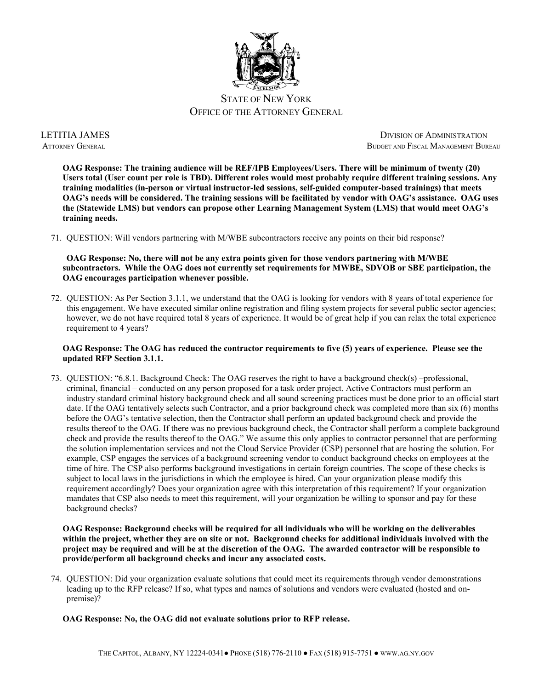

**OAG Response: The training audience will be REF/IPB Employees/Users. There will be minimum of twenty (20) Users total (User count per role is TBD). Different roles would most probably require different training sessions. Any training modalities (in-person or virtual instructor-led sessions, self-guided computer-based trainings) that meets OAG's needs will be considered. The training sessions will be facilitated by vendor with OAG's assistance. OAG uses the (Statewide LMS) but vendors can propose other Learning Management System (LMS) that would meet OAG's training needs.**

71. QUESTION: Will vendors partnering with M/WBE subcontractors receive any points on their bid response?

**OAG Response: No, there will not be any extra points given for those vendors partnering with M/WBE subcontractors. While the OAG does not currently set requirements for MWBE, SDVOB or SBE participation, the OAG encourages participation whenever possible.**

72. QUESTION: As Per Section 3.1.1, we understand that the OAG is looking for vendors with 8 years of total experience for this engagement. We have executed similar online registration and filing system projects for several public sector agencies; however, we do not have required total 8 years of experience. It would be of great help if you can relax the total experience requirement to 4 years?

# **OAG Response: The OAG has reduced the contractor requirements to five (5) years of experience. Please see the updated RFP Section 3.1.1.**

73. QUESTION: "6.8.1. Background Check: The OAG reserves the right to have a background check(s) –professional, criminal, financial – conducted on any person proposed for a task order project. Active Contractors must perform an industry standard criminal history background check and all sound screening practices must be done prior to an official start date. If the OAG tentatively selects such Contractor, and a prior background check was completed more than six (6) months before the OAG's tentative selection, then the Contractor shall perform an updated background check and provide the results thereof to the OAG. If there was no previous background check, the Contractor shall perform a complete background check and provide the results thereof to the OAG." We assume this only applies to contractor personnel that are performing the solution implementation services and not the Cloud Service Provider (CSP) personnel that are hosting the solution. For example, CSP engages the services of a background screening vendor to conduct background checks on employees at the time of hire. The CSP also performs background investigations in certain foreign countries. The scope of these checks is subject to local laws in the jurisdictions in which the employee is hired. Can your organization please modify this requirement accordingly? Does your organization agree with this interpretation of this requirement? If your organization mandates that CSP also needs to meet this requirement, will your organization be willing to sponsor and pay for these background checks?

**OAG Response: Background checks will be required for all individuals who will be working on the deliverables within the project, whether they are on site or not. Background checks for additional individuals involved with the project may be required and will be at the discretion of the OAG. The awarded contractor will be responsible to provide/perform all background checks and incur any associated costs.** 

74. QUESTION: Did your organization evaluate solutions that could meet its requirements through vendor demonstrations leading up to the RFP release? If so, what types and names of solutions and vendors were evaluated (hosted and onpremise)?

**OAG Response: No, the OAG did not evaluate solutions prior to RFP release.**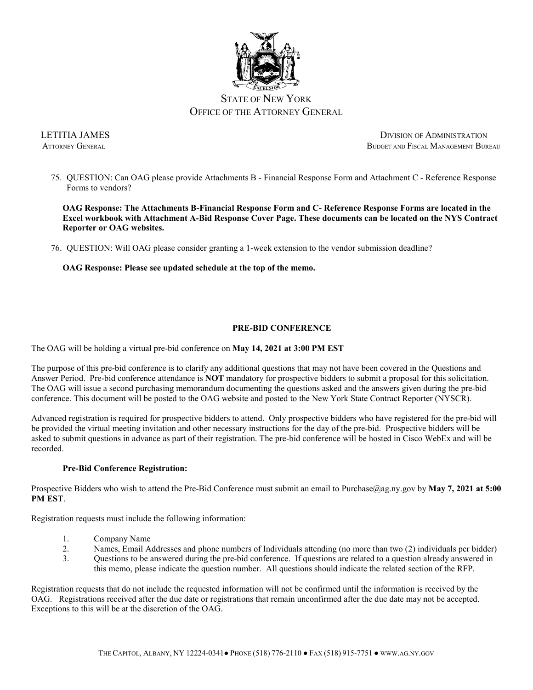

75. QUESTION: Can OAG please provide Attachments B - Financial Response Form and Attachment C - Reference Response Forms to vendors?

**OAG Response: The Attachments B-Financial Response Form and C- Reference Response Forms are located in the Excel workbook with Attachment A-Bid Response Cover Page. These documents can be located on the NYS Contract Reporter or OAG websites.** 

76. QUESTION: Will OAG please consider granting a 1-week extension to the vendor submission deadline?

**OAG Response: Please see updated schedule at the top of the memo.**

# **PRE-BID CONFERENCE**

The OAG will be holding a virtual pre-bid conference on **May 14, 2021 at 3:00 PM EST**

The purpose of this pre-bid conference is to clarify any additional questions that may not have been covered in the Questions and Answer Period. Pre-bid conference attendance is **NOT** mandatory for prospective bidders to submit a proposal for this solicitation. The OAG will issue a second purchasing memorandum documenting the questions asked and the answers given during the pre-bid conference. This document will be posted to the OAG website and posted to the New York State Contract Reporter (NYSCR).

Advanced registration is required for prospective bidders to attend. Only prospective bidders who have registered for the pre-bid will be provided the virtual meeting invitation and other necessary instructions for the day of the pre-bid. Prospective bidders will be asked to submit questions in advance as part of their registration. The pre-bid conference will be hosted in Cisco WebEx and will be recorded.

# **Pre-Bid Conference Registration:**

Prospective Bidders who wish to attend the Pre-Bid Conference must submit an email to Purchase@ag.ny.gov by **May 7, 2021 at 5:00 PM EST**.

Registration requests must include the following information:

- 1. Company Name
- 2. Names, Email Addresses and phone numbers of Individuals attending (no more than two (2) individuals per bidder)
- 3. Questions to be answered during the pre-bid conference. If questions are related to a question already answered in this memo, please indicate the question number. All questions should indicate the related section of the RFP.

Registration requests that do not include the requested information will not be confirmed until the information is received by the OAG. Registrations received after the due date or registrations that remain unconfirmed after the due date may not be accepted. Exceptions to this will be at the discretion of the OAG.